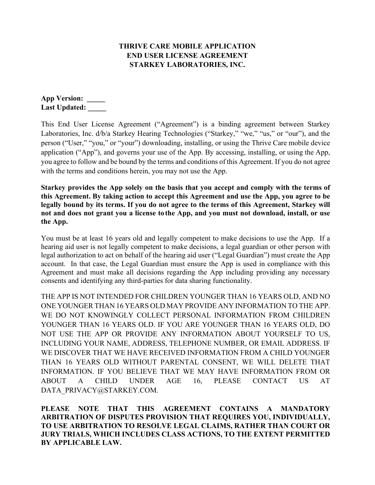# **THRIVE CARE MOBILE APPLICATION END USER LICENSE AGREEMENT STARKEY LABORATORIES, INC.**

**App Version: \_\_\_\_\_ Last Updated: \_\_\_\_\_**

This End User License Agreement ("Agreement") is a binding agreement between Starkey Laboratories, Inc. d/b/a Starkey Hearing Technologies ("Starkey," "we," "us," or "our"), and the person ("User," "you," or "your") downloading, installing, or using the Thrive Care mobile device application ("App"), and governs your use of the App. By accessing, installing, or using the App, you agree to follow and be bound by the terms and conditions of this Agreement. If you do not agree with the terms and conditions herein, you may not use the App.

**Starkey provides the App solely on the basis that you accept and comply with the terms of this Agreement. By taking action to accept this Agreement and use the App, you agree to be legally bound by its terms. If you do not agree to the terms of this Agreement, Starkey will not and does not grant you a license tothe App, and you must not download, install, or use the App.** 

You must be at least 16 years old and legally competent to make decisions to use the App. If a hearing aid user is not legally competent to make decisions, a legal guardian or other person with legal authorization to act on behalf of the hearing aid user ("Legal Guardian") must create the App account. In that case, the Legal Guardian must ensure the App is used in compliance with this Agreement and must make all decisions regarding the App including providing any necessary consents and identifying any third-parties for data sharing functionality.

THE APP IS NOT INTENDED FOR CHILDREN YOUNGER THAN 16 YEARS OLD, AND NO ONE YOUNGER THAN 16 YEARS OLD MAY PROVIDE ANY INFORMATION TO THE APP. WE DO NOT KNOWINGLY COLLECT PERSONAL INFORMATION FROM CHILDREN YOUNGER THAN 16 YEARS OLD. IF YOU ARE YOUNGER THAN 16 YEARS OLD, DO NOT USE THE APP OR PROVIDE ANY INFORMATION ABOUT YOURSELF TO US, INCLUDING YOUR NAME, ADDRESS, TELEPHONE NUMBER, OR EMAIL ADDRESS. IF WE DISCOVER THAT WE HAVE RECEIVED INFORMATION FROM A CHILD YOUNGER THAN 16 YEARS OLD WITHOUT PARENTAL CONSENT, WE WILL DELETE THAT INFORMATION. IF YOU BELIEVE THAT WE MAY HAVE INFORMATION FROM OR ABOUT A CHILD UNDER AGE 16, PLEASE CONTACT US AT DATA\_PRIVACY@STARKEY.COM.

**PLEASE NOTE THAT THIS AGREEMENT CONTAINS A MANDATORY ARBITRATION OF DISPUTES PROVISION THAT REQUIRES YOU, INDIVIDUALLY, TO USE ARBITRATION TO RESOLVE LEGAL CLAIMS, RATHER THAN COURT OR JURY TRIALS, WHICH INCLUDES CLASS ACTIONS, TO THE EXTENT PERMITTED BY APPLICABLE LAW.**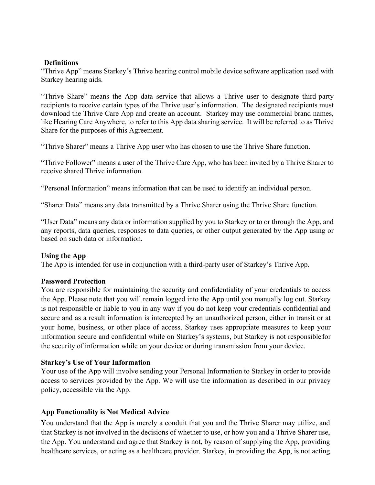#### **Definitions**

"Thrive App" means Starkey's Thrive hearing control mobile device software application used with Starkey hearing aids.

"Thrive Share" means the App data service that allows a Thrive user to designate third-party recipients to receive certain types of the Thrive user's information. The designated recipients must download the Thrive Care App and create an account. Starkey may use commercial brand names, like Hearing Care Anywhere, to refer to this App data sharing service. It will be referred to as Thrive Share for the purposes of this Agreement.

"Thrive Sharer" means a Thrive App user who has chosen to use the Thrive Share function.

"Thrive Follower" means a user of the Thrive Care App, who has been invited by a Thrive Sharer to receive shared Thrive information.

"Personal Information" means information that can be used to identify an individual person.

"Sharer Data" means any data transmitted by a Thrive Sharer using the Thrive Share function.

"User Data" means any data or information supplied by you to Starkey or to or through the App, and any reports, data queries, responses to data queries, or other output generated by the App using or based on such data or information.

# **Using the App**

The App is intended for use in conjunction with a third-party user of Starkey's Thrive App.

# **Password Protection**

You are responsible for maintaining the security and confidentiality of your credentials to access the App. Please note that you will remain logged into the App until you manually log out. Starkey is not responsible or liable to you in any way if you do not keep your credentials confidential and secure and as a result information is intercepted by an unauthorized person, either in transit or at your home, business, or other place of access. Starkey uses appropriate measures to keep your information secure and confidential while on Starkey's systems, but Starkey is not responsiblefor the security of information while on your device or during transmission from your device.

# **Starkey's Use of Your Information**

Your use of the App will involve sending your Personal Information to Starkey in order to provide access to services provided by the App. We will use the information as described in our privacy policy, accessible via the App.

# **App Functionality is Not Medical Advice**

You understand that the App is merely a conduit that you and the Thrive Sharer may utilize, and that Starkey is not involved in the decisions of whether to use, or how you and a Thrive Sharer use, the App. You understand and agree that Starkey is not, by reason of supplying the App, providing healthcare services, or acting as a healthcare provider. Starkey, in providing the App, is not acting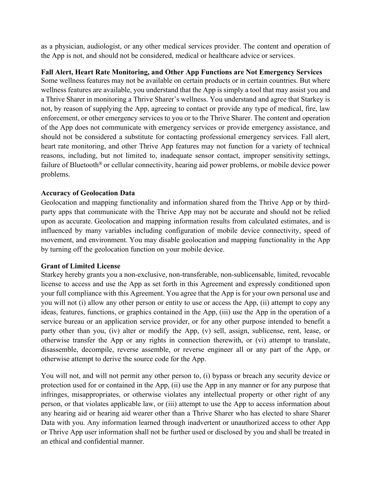as a physician, audiologist, or any other medical services provider. The content and operation of the App is not, and should not be considered, medical or healthcare advice or services.

### **Fall Alert, Heart Rate Monitoring, and Other App Functions are Not Emergency Services**

Some wellness features may not be available on certain products or in certain countries. But where wellness features are available, you understand that the App is simply a tool that may assist you and a Thrive Sharer in monitoring a Thrive Sharer's wellness. You understand and agree that Starkey is not, by reason of supplying the App, agreeing to contact or provide any type of medical, fire, law enforcement, or other emergency services to you or to the Thrive Sharer. The content and operation of the App does not communicate with emergency services or provide emergency assistance, and should not be considered a substitute for contacting professional emergency services. Fall alert, heart rate monitoring, and other Thrive App features may not function for a variety of technical reasons, including, but not limited to, inadequate sensor contact, improper sensitivity settings, failure of Bluetooth® or cellular connectivity, hearing aid power problems, or mobile device power problems.

### **Accuracy of Geolocation Data**

Geolocation and mapping functionality and information shared from the Thrive App or by thirdparty apps that communicate with the Thrive App may not be accurate and should not be relied upon as accurate. Geolocation and mapping information results from calculated estimates, and is influenced by many variables including configuration of mobile device connectivity, speed of movement, and environment. You may disable geolocation and mapping functionality in the App by turning off the geolocation function on your mobile device.

# **Grant of Limited License**

Starkey hereby grants you a non-exclusive, non-transferable, non-sublicensable, limited, revocable license to access and use the App as set forth in this Agreement and expressly conditioned upon your full compliance with this Agreement. You agree that the App is for your own personal use and you will not (i) allow any other person or entity to use or access the App, (ii) attempt to copy any ideas, features, functions, or graphics contained in the App, (iii) use the App in the operation of a service bureau or an application service provider, or for any other purpose intended to benefit a party other than you, (iv) alter or modify the App, (v) sell, assign, sublicense, rent, lease, or otherwise transfer the App or any rights in connection therewith, or (vi) attempt to translate, disassemble, decompile, reverse assemble, or reverse engineer all or any part of the App, or otherwise attempt to derive the source code for the App.

You will not, and will not permit any other person to, (i) bypass or breach any security device or protection used for or contained in the App, (ii) use the App in any manner or for any purpose that infringes, misappropriates, or otherwise violates any intellectual property or other right of any person, or that violates applicable law, or (iii) attempt to use the App to access information about any hearing aid or hearing aid wearer other than a Thrive Sharer who has elected to share Sharer Data with you. Any information learned through inadvertent or unauthorized access to other App or Thrive App user information shall not be further used or disclosed by you and shall be treated in an ethical and confidential manner.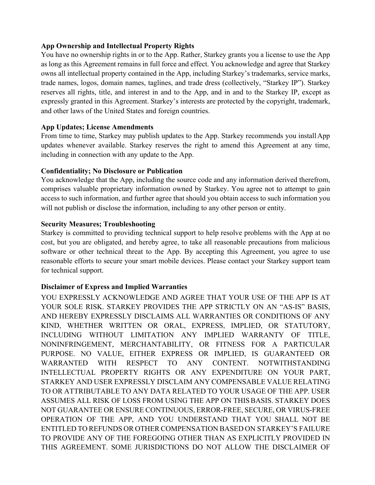# **App Ownership and Intellectual Property Rights**

You have no ownership rights in or to the App. Rather, Starkey grants you a license to use the App as long as this Agreement remains in full force and effect. You acknowledge and agree that Starkey owns all intellectual property contained in the App, including Starkey's trademarks, service marks, trade names, logos, domain names, taglines, and trade dress (collectively, "Starkey IP"). Starkey reserves all rights, title, and interest in and to the App, and in and to the Starkey IP, except as expressly granted in this Agreement. Starkey's interests are protected by the copyright, trademark, and other laws of the United States and foreign countries.

#### **App Updates; License Amendments**

From time to time, Starkey may publish updates to the App. Starkey recommends you install App updates whenever available. Starkey reserves the right to amend this Agreement at any time, including in connection with any update to the App.

### **Confidentiality; No Disclosure or Publication**

You acknowledge that the App, including the source code and any information derived therefrom, comprises valuable proprietary information owned by Starkey. You agree not to attempt to gain access to such information, and further agree that should you obtain access to such information you will not publish or disclose the information, including to any other person or entity.

# **Security Measures; Troubleshooting**

Starkey is committed to providing technical support to help resolve problems with the App at no cost, but you are obligated, and hereby agree, to take all reasonable precautions from malicious software or other technical threat to the App. By accepting this Agreement, you agree to use reasonable efforts to secure your smart mobile devices. Please contact your Starkey support team for technical support.

# **Disclaimer of Express and Implied Warranties**

YOU EXPRESSLY ACKNOWLEDGE AND AGREE THAT YOUR USE OF THE APP IS AT YOUR SOLE RISK. STARKEY PROVIDES THE APP STRICTLY ON AN "AS-IS" BASIS, AND HEREBY EXPRESSLY DISCLAIMS ALL WARRANTIES OR CONDITIONS OF ANY KIND, WHETHER WRITTEN OR ORAL, EXPRESS, IMPLIED, OR STATUTORY, INCLUDING WITHOUT LIMITATION ANY IMPLIED WARRANTY OF TITLE, NONINFRINGEMENT, MERCHANTABILITY, OR FITNESS FOR A PARTICULAR PURPOSE. NO VALUE, EITHER EXPRESS OR IMPLIED, IS GUARANTEED OR WARRANTED WITH RESPECT TO ANY CONTENT. NOTWITHSTANDING INTELLECTUAL PROPERTY RIGHTS OR ANY EXPENDITURE ON YOUR PART, STARKEY AND USER EXPRESSLY DISCLAIM ANY COMPENSABLE VALUE RELATING TO OR ATTRIBUTABLE TO ANY DATA RELATED TO YOUR USAGE OF THE APP. USER ASSUMES ALL RISK OF LOSS FROM USING THE APP ON THISBASIS. STARKEY DOES NOT GUARANTEE OR ENSURE CONTINUOUS, ERROR-FREE, SECURE, OR VIRUS-FREE OPERATION OF THE APP, AND YOU UNDERSTAND THAT YOU SHALL NOT BE ENTITLED TO REFUNDS OR OTHER COMPENSATION BASED ON STARKEY'S FAILURE TO PROVIDE ANY OF THE FOREGOING OTHER THAN AS EXPLICITLY PROVIDED IN THIS AGREEMENT. SOME JURISDICTIONS DO NOT ALLOW THE DISCLAIMER OF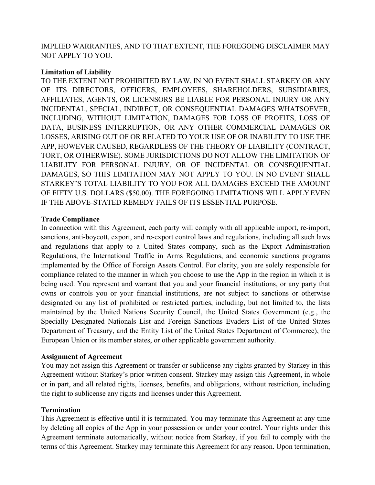IMPLIED WARRANTIES, AND TO THAT EXTENT, THE FOREGOING DISCLAIMER MAY NOT APPLY TO YOU.

### **Limitation of Liability**

TO THE EXTENT NOT PROHIBITED BY LAW, IN NO EVENT SHALL STARKEY OR ANY OF ITS DIRECTORS, OFFICERS, EMPLOYEES, SHAREHOLDERS, SUBSIDIARIES, AFFILIATES, AGENTS, OR LICENSORS BE LIABLE FOR PERSONAL INJURY OR ANY INCIDENTAL, SPECIAL, INDIRECT, OR CONSEQUENTIAL DAMAGES WHATSOEVER, INCLUDING, WITHOUT LIMITATION, DAMAGES FOR LOSS OF PROFITS, LOSS OF DATA, BUSINESS INTERRUPTION, OR ANY OTHER COMMERCIAL DAMAGES OR LOSSES, ARISING OUT OF OR RELATED TO YOUR USE OF OR INABILITY TO USE THE APP, HOWEVER CAUSED, REGARDLESS OF THE THEORY OF LIABILITY (CONTRACT, TORT, OR OTHERWISE). SOME JURISDICTIONS DO NOT ALLOW THE LIMITATION OF LIABILITY FOR PERSONAL INJURY, OR OF INCIDENTAL OR CONSEQUENTIAL DAMAGES, SO THIS LIMITATION MAY NOT APPLY TO YOU. IN NO EVENT SHALL STARKEY'S TOTAL LIABILITY TO YOU FOR ALL DAMAGES EXCEED THE AMOUNT OF FIFTY U.S. DOLLARS (\$50.00). THE FOREGOING LIMITATIONS WILL APPLYEVEN IF THE ABOVE-STATED REMEDY FAILS OF ITS ESSENTIAL PURPOSE.

### **Trade Compliance**

In connection with this Agreement, each party will comply with all applicable import, re-import, sanctions, anti-boycott, export, and re-export control laws and regulations, including all such laws and regulations that apply to a United States company, such as the Export Administration Regulations, the International Traffic in Arms Regulations, and economic sanctions programs implemented by the Office of Foreign Assets Control. For clarity, you are solely responsible for compliance related to the manner in which you choose to use the App in the region in which it is being used. You represent and warrant that you and your financial institutions, or any party that owns or controls you or your financial institutions, are not subject to sanctions or otherwise designated on any list of prohibited or restricted parties, including, but not limited to, the lists maintained by the United Nations Security Council, the United States Government (e.g., the Specially Designated Nationals List and Foreign Sanctions Evaders List of the United States Department of Treasury, and the Entity List of the United States Department of Commerce), the European Union or its member states, or other applicable government authority.

#### **Assignment of Agreement**

You may not assign this Agreement or transfer or sublicense any rights granted by Starkey in this Agreement without Starkey's prior written consent. Starkey may assign this Agreement, in whole or in part, and all related rights, licenses, benefits, and obligations, without restriction, including the right to sublicense any rights and licenses under this Agreement.

# **Termination**

This Agreement is effective until it is terminated. You may terminate this Agreement at any time by deleting all copies of the App in your possession or under your control. Your rights under this Agreement terminate automatically, without notice from Starkey, if you fail to comply with the terms of this Agreement. Starkey may terminate this Agreement for any reason. Upon termination,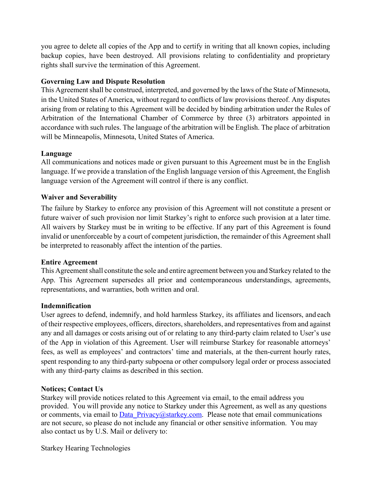you agree to delete all copies of the App and to certify in writing that all known copies, including backup copies, have been destroyed. All provisions relating to confidentiality and proprietary rights shall survive the termination of this Agreement.

### **Governing Law and Dispute Resolution**

This Agreement shall be construed, interpreted, and governed by the laws of the State of Minnesota, in the United States of America, without regard to conflicts of law provisions thereof. Any disputes arising from or relating to this Agreement will be decided by binding arbitration under the Rules of Arbitration of the International Chamber of Commerce by three (3) arbitrators appointed in accordance with such rules. The language of the arbitration will be English. The place of arbitration will be Minneapolis, Minnesota, United States of America.

### **Language**

All communications and notices made or given pursuant to this Agreement must be in the English language. If we provide a translation of the English language version of this Agreement, the English language version of the Agreement will control if there is any conflict.

### **Waiver and Severability**

The failure by Starkey to enforce any provision of this Agreement will not constitute a present or future waiver of such provision nor limit Starkey's right to enforce such provision at a later time. All waivers by Starkey must be in writing to be effective. If any part of this Agreement is found invalid or unenforceable by a court of competent jurisdiction, the remainder of this Agreement shall be interpreted to reasonably affect the intention of the parties.

#### **Entire Agreement**

This Agreement shall constitute the sole and entire agreement between you and Starkey related to the App. This Agreement supersedes all prior and contemporaneous understandings, agreements, representations, and warranties, both written and oral.

#### **Indemnification**

User agrees to defend, indemnify, and hold harmless Starkey, its affiliates and licensors, and each of their respective employees, officers, directors, shareholders, and representatives from and against any and all damages or costs arising out of or relating to any third-party claim related to User's use of the App in violation of this Agreement. User will reimburse Starkey for reasonable attorneys' fees, as well as employees' and contractors' time and materials, at the then-current hourly rates, spent responding to any third-party subpoena or other compulsory legal order or process associated with any third-party claims as described in this section.

#### **Notices; Contact Us**

Starkey will provide notices related to this Agreement via email, to the email address you provided. You will provide any notice to Starkey under this Agreement, as well as any questions or comments, via email to Data Privacy@starkey.com. Please note that email communications are not secure, so please do not include any financial or other sensitive information. You may also contact us by U.S. Mail or delivery to:

Starkey Hearing Technologies